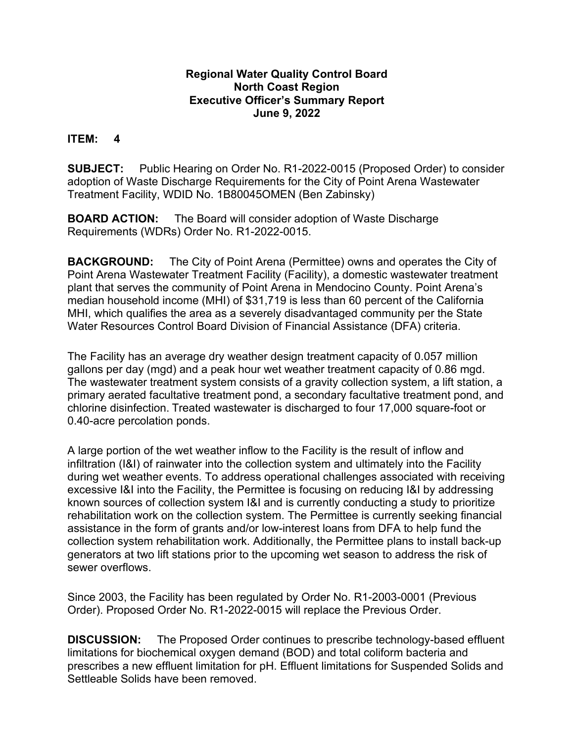## **Regional Water Quality Control Board North Coast Region Executive Officer's Summary Report June 9, 2022**

## **ITEM: 4**

**SUBJECT:** Public Hearing on Order No. R1-2022-0015 (Proposed Order) to consider adoption of Waste Discharge Requirements for the City of Point Arena Wastewater Treatment Facility, WDID No. 1B80045OMEN (Ben Zabinsky)

**BOARD ACTION:** The Board will consider adoption of Waste Discharge Requirements (WDRs) Order No. R1-2022-0015.

**BACKGROUND:** The City of Point Arena (Permittee) owns and operates the City of Point Arena Wastewater Treatment Facility (Facility), a domestic wastewater treatment plant that serves the community of Point Arena in Mendocino County. Point Arena's median household income (MHI) of \$31,719 is less than 60 percent of the California MHI, which qualifies the area as a severely disadvantaged community per the State Water Resources Control Board Division of Financial Assistance (DFA) criteria.

The Facility has an average dry weather design treatment capacity of 0.057 million gallons per day (mgd) and a peak hour wet weather treatment capacity of 0.86 mgd. The wastewater treatment system consists of a gravity collection system, a lift station, a primary aerated facultative treatment pond, a secondary facultative treatment pond, and chlorine disinfection. Treated wastewater is discharged to four 17,000 square-foot or 0.40-acre percolation ponds.

A large portion of the wet weather inflow to the Facility is the result of inflow and infiltration (I&I) of rainwater into the collection system and ultimately into the Facility during wet weather events. To address operational challenges associated with receiving excessive I&I into the Facility, the Permittee is focusing on reducing I&I by addressing known sources of collection system I&I and is currently conducting a study to prioritize rehabilitation work on the collection system. The Permittee is currently seeking financial assistance in the form of grants and/or low-interest loans from DFA to help fund the collection system rehabilitation work. Additionally, the Permittee plans to install back-up generators at two lift stations prior to the upcoming wet season to address the risk of sewer overflows.

Since 2003, the Facility has been regulated by Order No. R1-2003-0001 (Previous Order). Proposed Order No. R1-2022-0015 will replace the Previous Order.

**DISCUSSION:** The Proposed Order continues to prescribe technology-based effluent limitations for biochemical oxygen demand (BOD) and total coliform bacteria and prescribes a new effluent limitation for pH. Effluent limitations for Suspended Solids and Settleable Solids have been removed.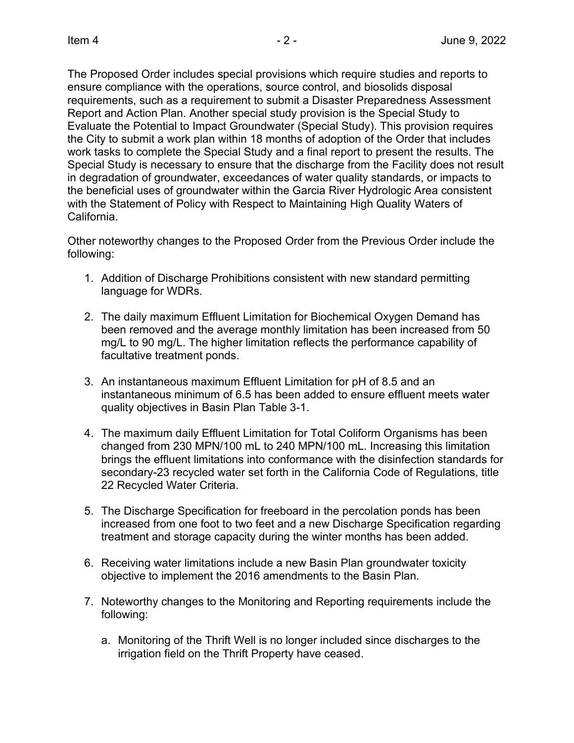The Proposed Order includes special provisions which require studies and reports to ensure compliance with the operations, source control, and biosolids disposal requirements, such as a requirement to submit a Disaster Preparedness Assessment Report and Action Plan. Another special study provision is the Special Study to Evaluate the Potential to Impact Groundwater (Special Study). This provision requires the City to submit a work plan within 18 months of adoption of the Order that includes work tasks to complete the Special Study and a final report to present the results. The Special Study is necessary to ensure that the discharge from the Facility does not result in degradation of groundwater, exceedances of water quality standards, or impacts to the beneficial uses of groundwater within the Garcia River Hydrologic Area consistent with the Statement of Policy with Respect to Maintaining High Quality Waters of California.

Other noteworthy changes to the Proposed Order from the Previous Order include the following:

- 1. Addition of Discharge Prohibitions consistent with new standard permitting language for WDRs.
- 2. The daily maximum Effluent Limitation for Biochemical Oxygen Demand has been removed and the average monthly limitation has been increased from 50 mg/L to 90 mg/L. The higher limitation reflects the performance capability of facultative treatment ponds.
- 3. An instantaneous maximum Effluent Limitation for pH of 8.5 and an instantaneous minimum of 6.5 has been added to ensure effluent meets water quality objectives in Basin Plan Table 3-1.
- 4. The maximum daily Effluent Limitation for Total Coliform Organisms has been changed from 230 MPN/100 mL to 240 MPN/100 mL. Increasing this limitation brings the effluent limitations into conformance with the disinfection standards for secondary-23 recycled water set forth in the California Code of Regulations, title 22 Recycled Water Criteria.
- 5. The Discharge Specification for freeboard in the percolation ponds has been increased from one foot to two feet and a new Discharge Specification regarding treatment and storage capacity during the winter months has been added.
- 6. Receiving water limitations include a new Basin Plan groundwater toxicity objective to implement the 2016 amendments to the Basin Plan.
- 7. Noteworthy changes to the Monitoring and Reporting requirements include the following:
	- a. Monitoring of the Thrift Well is no longer included since discharges to the irrigation field on the Thrift Property have ceased.